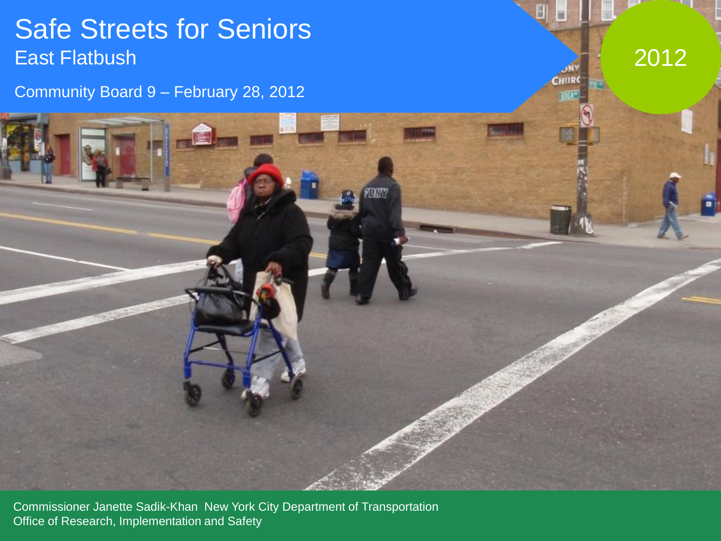#### Safe Streets for Seniors East Flatbush

Community Board 9 – February 28, 2012

2012

**CHUR** 

**DAY** 

Commissioner Janette Sadik-Khan New York City Department of Transportation Office of Research, Implementation and Safety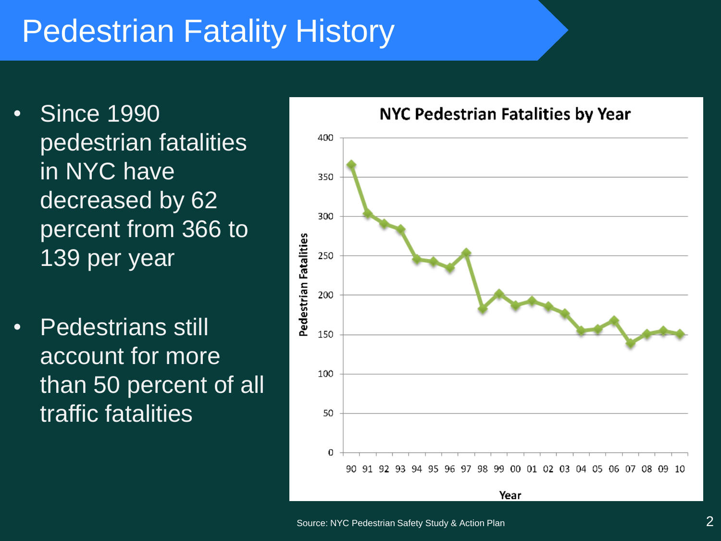### Pedestrian Fatality History

- Since 1990 pedestrian fatalities in NYC have decreased by 62 percent from 366 to 139 per year
- Pedestrians still account for more than 50 percent of all traffic fatalities

#### NYC Pedestrian Fatalities by Year

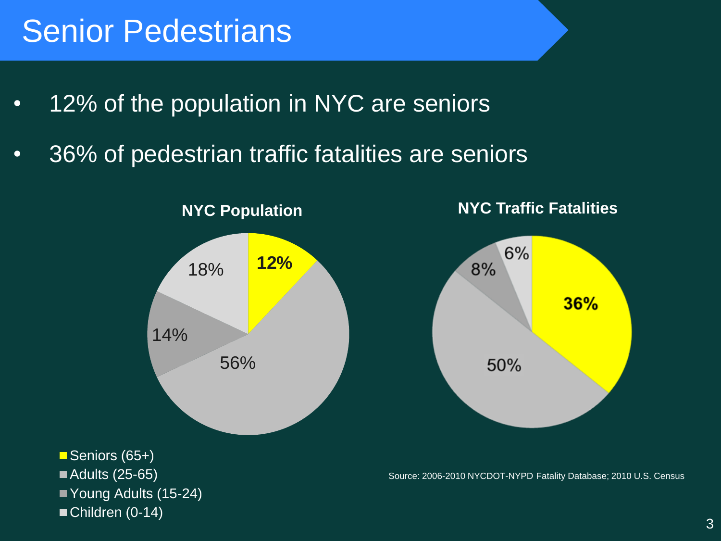#### Senior Pedestrians

- 12% of the population in NYC are seniors
- 36% of pedestrian traffic fatalities are seniors

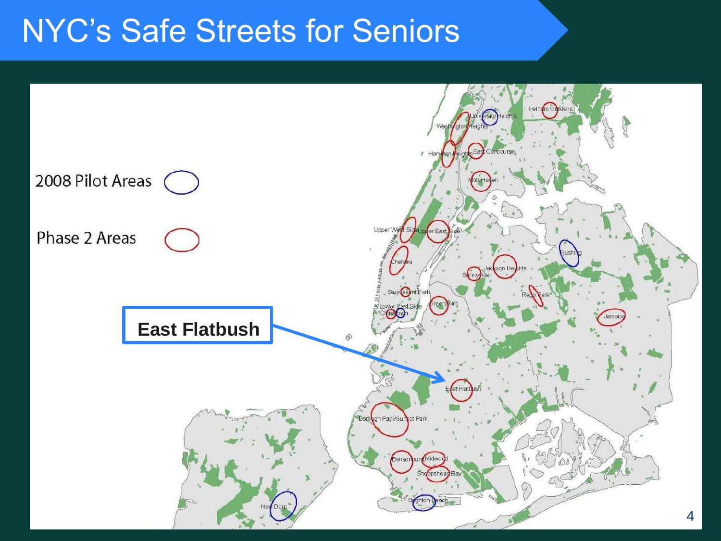#### NYC's Safe Streets for Seniors

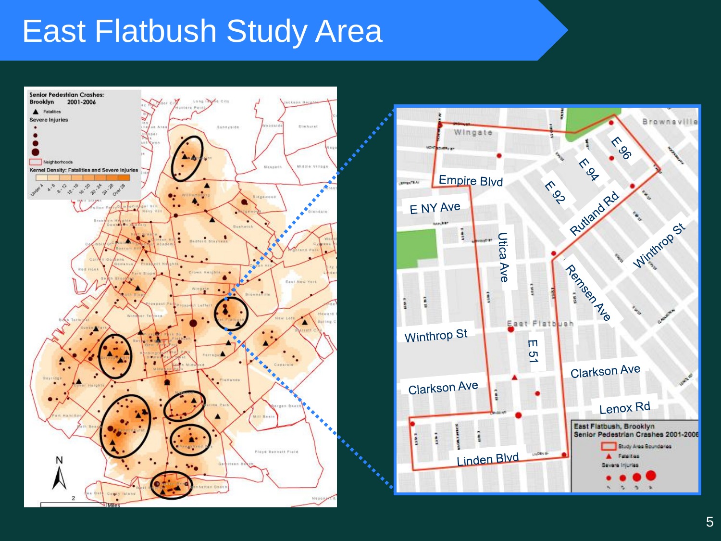#### East Flatbush Study Area



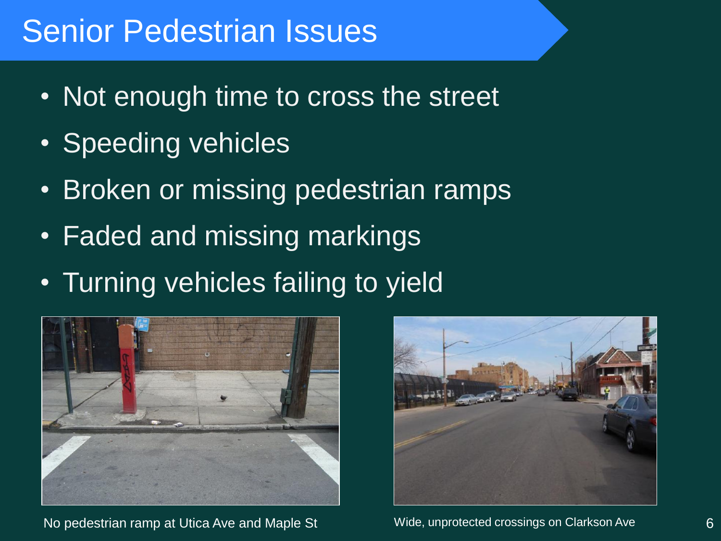#### Senior Pedestrian Issues

- Not enough time to cross the street
- Speeding vehicles
- Broken or missing pedestrian ramps
- Faded and missing markings
- Turning vehicles failing to yield



No pedestrian ramp at Utica Ave and Maple St Wide, unprotected crossings on Clarkson Ave 6

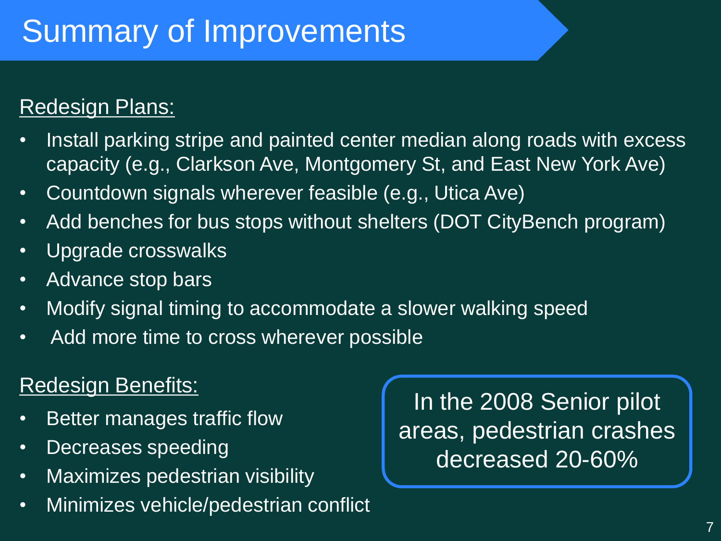## Summary of Improvements

#### **Redesign Plans:**

- Install parking stripe and painted center median along roads with excess capacity (e.g., Clarkson Ave, Montgomery St, and East New York Ave)
- Countdown signals wherever feasible (e.g., Utica Ave)
- Add benches for bus stops without shelters (DOT CityBench program)
- Upgrade crosswalks
- Advance stop bars
- Modify signal timing to accommodate a slower walking speed
- Add more time to cross wherever possible

#### Redesign Benefits:

- Better manages traffic flow
- Decreases speeding
- Maximizes pedestrian visibility
- Minimizes vehicle/pedestrian conflict

In the 2008 Senior pilot areas, pedestrian crashes decreased 20-60%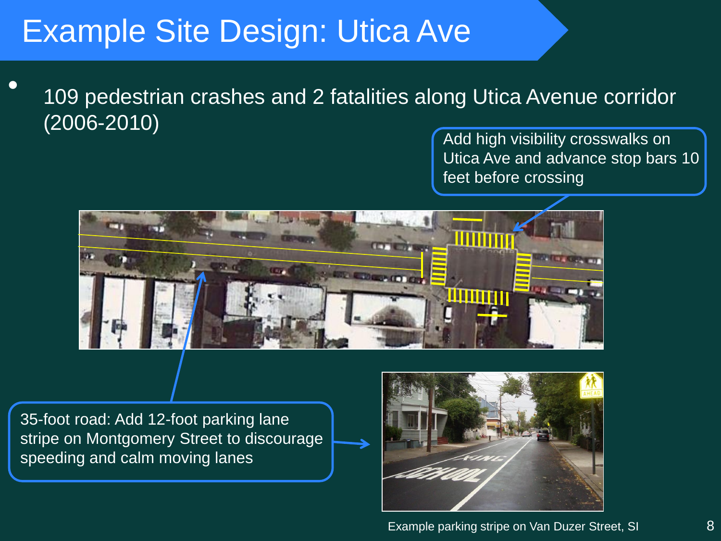### Example Site Design: Utica Ave

• 109 pedestrian crashes and 2 fatalities along Utica Avenue corridor (2006-2010)

Add high visibility crosswalks on Utica Ave and advance stop bars 10 feet before crossing



35-foot road: Add 12-foot parking lane stripe on Montgomery Street to discourage speeding and calm moving lanes

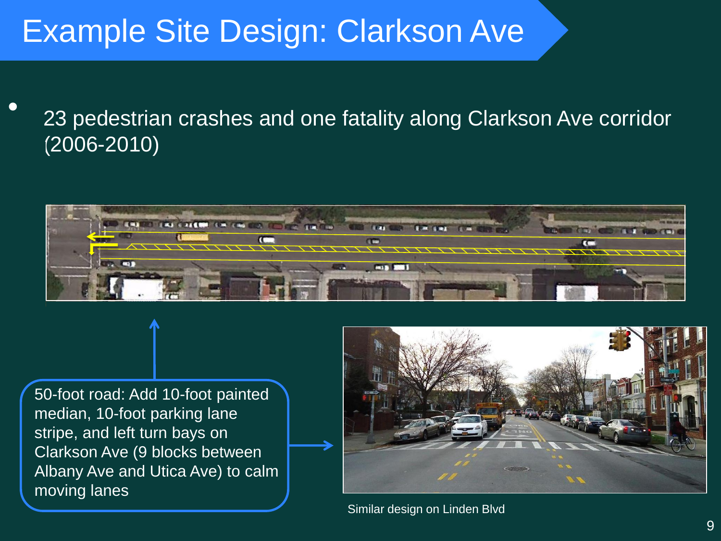### Example Site Design: Clarkson Ave

• 23 pedestrian crashes and one fatality along Clarkson Ave corridor (2006-2010)



50-foot road: Add 10-foot painted median, 10-foot parking lane stripe, and left turn bays on Clarkson Ave (9 blocks between Albany Ave and Utica Ave) to calm moving lanes



Similar design on Linden Blvd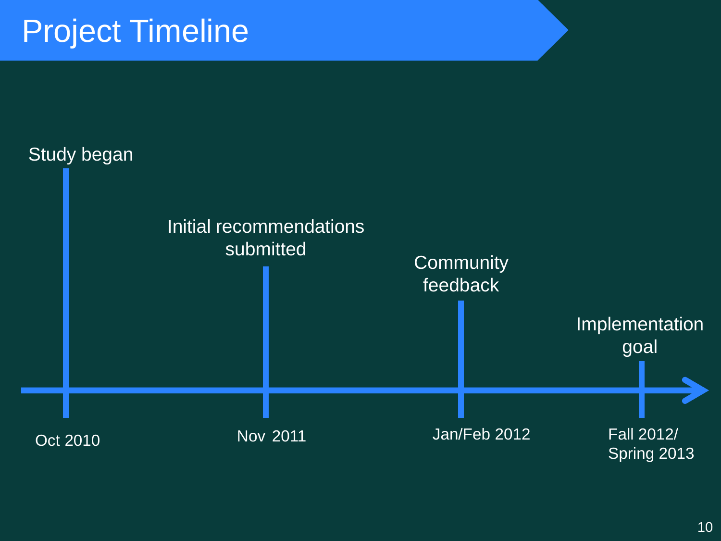### Project Timeline